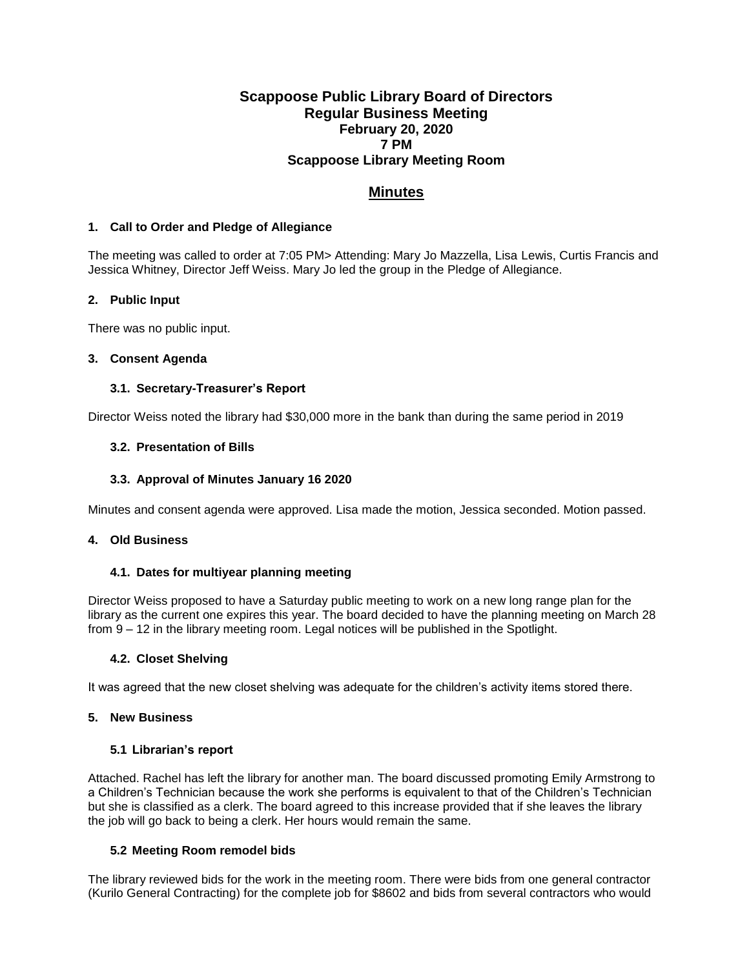# **Scappoose Public Library Board of Directors Regular Business Meeting February 20, 2020 7 PM Scappoose Library Meeting Room**

# **Minutes**

## **1. Call to Order and Pledge of Allegiance**

The meeting was called to order at 7:05 PM> Attending: Mary Jo Mazzella, Lisa Lewis, Curtis Francis and Jessica Whitney, Director Jeff Weiss. Mary Jo led the group in the Pledge of Allegiance.

## **2. Public Input**

There was no public input.

## **3. Consent Agenda**

## **3.1. Secretary-Treasurer's Report**

Director Weiss noted the library had \$30,000 more in the bank than during the same period in 2019

## **3.2. Presentation of Bills**

## **3.3. Approval of Minutes January 16 2020**

Minutes and consent agenda were approved. Lisa made the motion, Jessica seconded. Motion passed.

#### **4. Old Business**

#### **4.1. Dates for multiyear planning meeting**

Director Weiss proposed to have a Saturday public meeting to work on a new long range plan for the library as the current one expires this year. The board decided to have the planning meeting on March 28 from 9 – 12 in the library meeting room. Legal notices will be published in the Spotlight.

#### **4.2. Closet Shelving**

It was agreed that the new closet shelving was adequate for the children's activity items stored there.

#### **5. New Business**

#### **5.1 Librarian's report**

Attached. Rachel has left the library for another man. The board discussed promoting Emily Armstrong to a Children's Technician because the work she performs is equivalent to that of the Children's Technician but she is classified as a clerk. The board agreed to this increase provided that if she leaves the library the job will go back to being a clerk. Her hours would remain the same.

# **5.2 Meeting Room remodel bids**

The library reviewed bids for the work in the meeting room. There were bids from one general contractor (Kurilo General Contracting) for the complete job for \$8602 and bids from several contractors who would